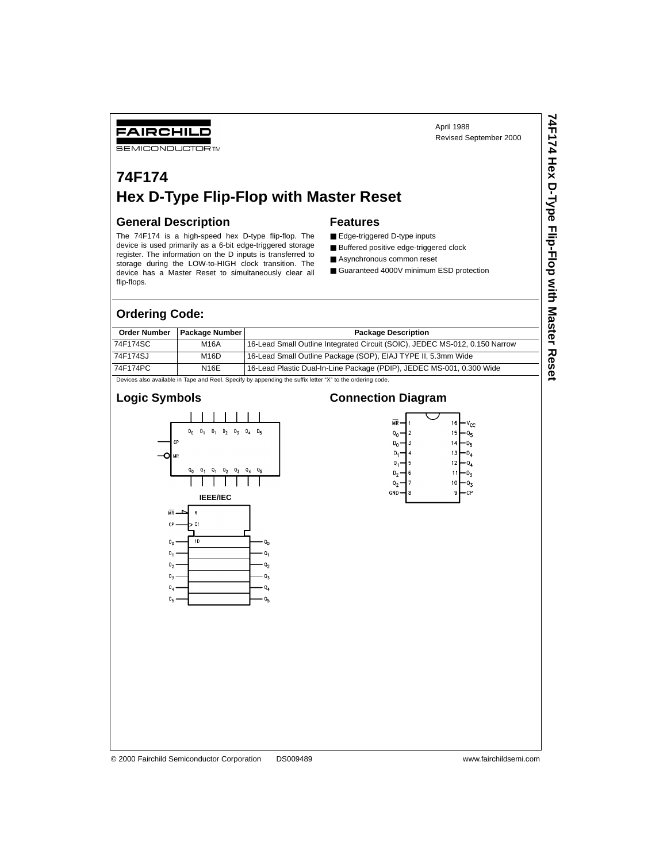## FAIRCHILD

**SEMICONDUCTOR TM** 

# **74F174 Hex D-Type Flip-Flop with Master Reset**

#### **General Description**

The 74F174 is a high-speed hex D-type flip-flop. The device is used primarily as a 6-bit edge-triggered storage register. The information on the D inputs is transferred to storage during the LOW-to-HIGH clock transition. The device has a Master Reset to simultaneously clear all flip-flops.

#### **Features**

- Edge-triggered D-type inputs
- Buffered positive edge-triggered clock
- Asynchronous common reset
- Guaranteed 4000V minimum ESD protection

#### **Ordering Code:**

| <b>Order Number</b> | <b>Package Number I</b>                                                                                  | <b>Package Description</b>                                                  |  |  |  |  |  |  |
|---------------------|----------------------------------------------------------------------------------------------------------|-----------------------------------------------------------------------------|--|--|--|--|--|--|
| 74F174SC            | M16A                                                                                                     | 16-Lead Small Outline Integrated Circuit (SOIC), JEDEC MS-012, 0.150 Narrow |  |  |  |  |  |  |
| 74F174SJ            | M <sub>16</sub> D                                                                                        | 16-Lead Small Outline Package (SOP), EIAJ TYPE II, 5.3mm Wide               |  |  |  |  |  |  |
| 74F174PC            | <b>N16E</b>                                                                                              | 16-Lead Plastic Dual-In-Line Package (PDIP), JEDEC MS-001, 0.300 Wide       |  |  |  |  |  |  |
|                     | Devices also available in Tape and Reel. Specify by appending the suffix letter "X" to the ordering code |                                                                             |  |  |  |  |  |  |

Devices also available in Tape and Reel. Specify by appending the suffix letter "X" to the ordering code.

### **Logic Symbols**



### **Connection Diagram**

| МR             |   | 16 | $v_{cc}$ |
|----------------|---|----|----------|
| Q              | 2 | 15 | $Q_{5}$  |
| D <sub>n</sub> | 3 | 14 | Uς       |
| D,             | 4 | 13 | U,       |
| Q.             | 5 | 12 | ۰۹∡      |
| D,             | 6 | 1  | υz       |
| Q,             | 7 | 10 | Qχ       |
| GND            | 8 | 9  | СP       |
|                |   |    |          |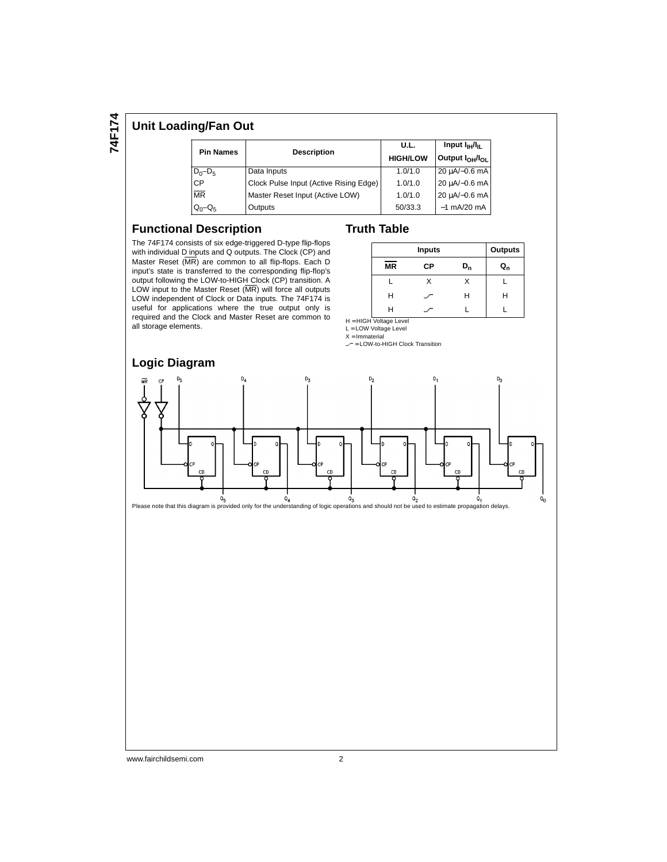**74F174**

#### **Unit Loading/Fan Out**

| <b>Pin Names</b> | <b>Description</b>                     | U.L.                                                       | Input $I_{\rm HI}/I_{\rm H}$ |  |  |
|------------------|----------------------------------------|------------------------------------------------------------|------------------------------|--|--|
|                  |                                        | Output I <sub>OH</sub> /I <sub>OL</sub><br><b>HIGH/LOW</b> |                              |  |  |
| $D_0 - D_5$      | Data Inputs                            | 1.0/1.0                                                    | $20 \mu A/-0.6$ mA           |  |  |
| <b>CP</b>        | Clock Pulse Input (Active Rising Edge) | 1.0/1.0                                                    | 20 µA/-0.6 mA                |  |  |
| <b>MR</b>        | Master Reset Input (Active LOW)        | 1.0/1.0                                                    | 20 µA/-0.6 mA                |  |  |
| $Q_0 - Q_5$      | Outputs                                | 50/33.3                                                    | $-1$ mA/20 mA                |  |  |

#### **Functional Description**

The 74F174 consists of six edge-triggered D-type flip-flops with individual D inputs and Q outputs. The Clock (CP) and Master Reset (MR) are common to all flip-flops. Each D input's state is transferred to the corresponding flip-flop's output following the LOW-to-HIGH Clock (CP) transition. A LOW input to the Master Reset (MR) will force all outputs LOW independent of Clock or Data inputs. The 74F174 is useful for applications where the true output only is required and the Clock and Master Reset are common to all storage elements.

#### **Truth Table**

|           | <b>Inputs</b> |         |                         |  |  |
|-----------|---------------|---------|-------------------------|--|--|
| <b>MR</b> | СP            | $D_{n}$ | $\mathtt{Q}_\mathtt{n}$ |  |  |
|           |               |         |                         |  |  |
| Н         |               | н       | н                       |  |  |
| н         |               |         |                         |  |  |

H = HIGH Voltage Level L = LOW Voltage Level

 $X = Immateria$ 

 $\mathcal{L}$  = LOW-to-HIGH Clock Transition

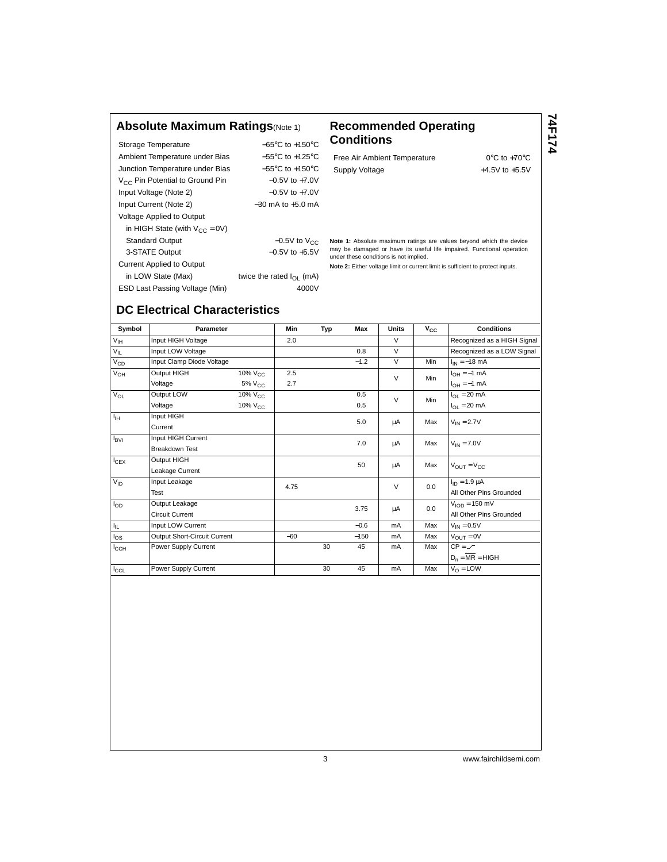### **Absolute Maximum Ratings**(Note 1) **Recommended Operating**

| Storage Temperature                         | $-65^{\circ}$ C to $+150^{\circ}$ C |
|---------------------------------------------|-------------------------------------|
| Ambient Temperature under Bias              | $-55^{\circ}$ C to $+125^{\circ}$ C |
| Junction Temperature under Bias             | $-55^{\circ}$ C to $+150^{\circ}$ C |
| V <sub>CC</sub> Pin Potential to Ground Pin | $-0.5V$ to $+7.0V$                  |
| Input Voltage (Note 2)                      | $-0.5V$ to $+7.0V$                  |
| Input Current (Note 2)                      | $-30$ mA to $+5.0$ mA               |
| Voltage Applied to Output                   |                                     |
| in HIGH State (with $V_{CC} = 0V$ )         |                                     |
| <b>Standard Output</b>                      | $-0.5V$ to $V_{CC}$                 |
| 3-STATE Output                              | $-0.5V$ to $+5.5V$                  |
| <b>Current Applied to Output</b>            |                                     |
| in LOW State (Max)                          | twice the rated $I_{\Omega}$ (mA)   |
| ESD Last Passing Voltage (Min)              | 4000V                               |
|                                             |                                     |

# **Conditions**

Free Air Ambient Temperature 0°C to +70°C Supply Voltage  $+4.5V$  to  $+5.5V$  **74F174**

**Note 1:** Absolute maximum ratings are values beyond which the device may be damaged or have its useful life impaired. Functional operation under these conditions is not implied.

**Note 2:** Either voltage limit or current limit is sufficient to protect inputs.

# **DC Electrical Characteristics**

| Symbol           | Parameter                    |                 | Min   | Typ | Max    | <b>Units</b> | $V_{CC}$ | <b>Conditions</b>                |  |
|------------------|------------------------------|-----------------|-------|-----|--------|--------------|----------|----------------------------------|--|
| $V_{\text{IH}}$  | Input HIGH Voltage           |                 | 2.0   |     |        | $\vee$       |          | Recognized as a HIGH Signal      |  |
| $V_{IL}$         | Input LOW Voltage            |                 |       |     | 0.8    | $\vee$       |          | Recognized as a LOW Signal       |  |
| $V_{CD}$         | Input Clamp Diode Voltage    |                 |       |     | $-1.2$ | $\vee$       | Min      | $I_{IN} = -18$ mA                |  |
| $V_{OH}$         | Output HIGH                  | $10\%$ $V_{C}$  | 2.5   |     |        | $\vee$       | Min      | $I_{OH} = -1$ mA                 |  |
|                  | Voltage                      | $5\%$ $V_{CC}$  | 2.7   |     |        |              |          | $I_{OH} = -1$ mA                 |  |
| $V_{OL}$         | Output LOW                   | $10\%$ $V_{CC}$ |       |     | 0.5    | $\vee$       | Min      | $I_{OL}$ = 20 mA                 |  |
|                  | Voltage                      | $10\%$ $V_{CC}$ |       |     | 0.5    |              |          | $I_{OL} = 20$ mA                 |  |
| $I_{\rm IH}$     | Input HIGH                   |                 |       |     | 5.0    | μA           | Max      | $V_{IN} = 2.7V$                  |  |
|                  | Current                      |                 |       |     |        |              |          |                                  |  |
| $I_{\text{BVI}}$ | Input HIGH Current           |                 |       |     | 7.0    | μA           | Max      |                                  |  |
|                  | <b>Breakdown Test</b>        |                 |       |     |        |              |          | $V_{IN} = 7.0V$                  |  |
| $I_{CEX}$        | Output HIGH                  |                 |       |     | 50     | μA           | Max      | $V_{\text{OUT}} = V_{\text{CC}}$ |  |
|                  | Leakage Current              |                 |       |     |        |              |          |                                  |  |
| $V_{ID}$         | Input Leakage                |                 | 4.75  |     |        | $\vee$       | 0.0      | $I_{ID} = 1.9 \mu A$             |  |
|                  | Test                         |                 |       |     |        |              |          | All Other Pins Grounded          |  |
| $I_{OD}$         | Output Leakage               |                 |       |     | 3.75   | μA           | 0.0      | $VION = 150 mV$                  |  |
|                  | <b>Circuit Current</b>       |                 |       |     |        |              |          | All Other Pins Grounded          |  |
| Ι'n.             | Input LOW Current            |                 |       |     | $-0.6$ | mA           | Max      | $V_{IN} = 0.5V$                  |  |
| $I_{OS}$         | Output Short-Circuit Current |                 | $-60$ |     | $-150$ | mA           | Max      | $V_{\text{OUT}} = 0V$            |  |
| $I_{\text{CCH}}$ | Power Supply Current         |                 |       | 30  | 45     | mA           | Max      | $CP = \angle$                    |  |
|                  |                              |                 |       |     |        |              |          | $D_n = \overline{MR} = HIGH$     |  |
| $I_{CCL}$        | Power Supply Current         |                 |       | 30  | 45     | mA           | Max      | $V_{\Omega}$ = LOW               |  |

3 www.fairchildsemi.com